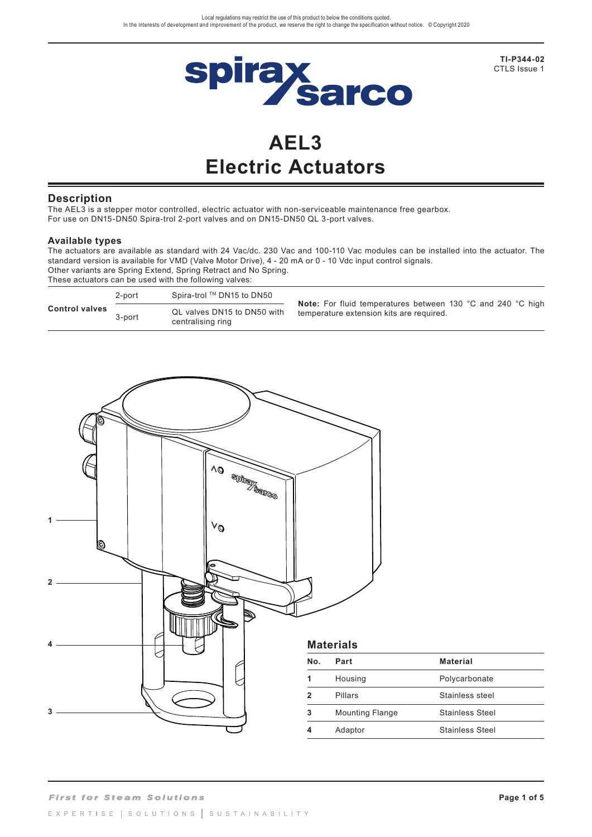

**TI-P344-02**  CTLS Issue 1

# **AEL3 Electric Actuators**

#### **Description**

The AEL3 is a stepper motor controlled, electric actuator with non-serviceable maintenance free gearbox. For use on DN15-DN50 Spira-trol 2-port valves and on DN15-DN50 QL 3-port valves.

#### **Available types**

The actuators are available as standard with 24 Vac/dc. 230 Vac and 100-110 Vac modules can be installed into the actuator. The standard version is available for VMD (Valve Motor Drive), 4 - 20 mA or 0 - 10 Vdc input control signals. Other variants are Spring Extend, Spring Retract and No Spring. These actuators can be used with the following valves:

| <b>Control valves</b> | 2-port | Spira-trol ™ DN15 to DN50                        | <b>Note:</b> For fluid temperatures between 130 °C and 240 °C high |  |
|-----------------------|--------|--------------------------------------------------|--------------------------------------------------------------------|--|
|                       | 3-port | QL valves DN15 to DN50 with<br>centralising ring | temperature extension kits are required.                           |  |

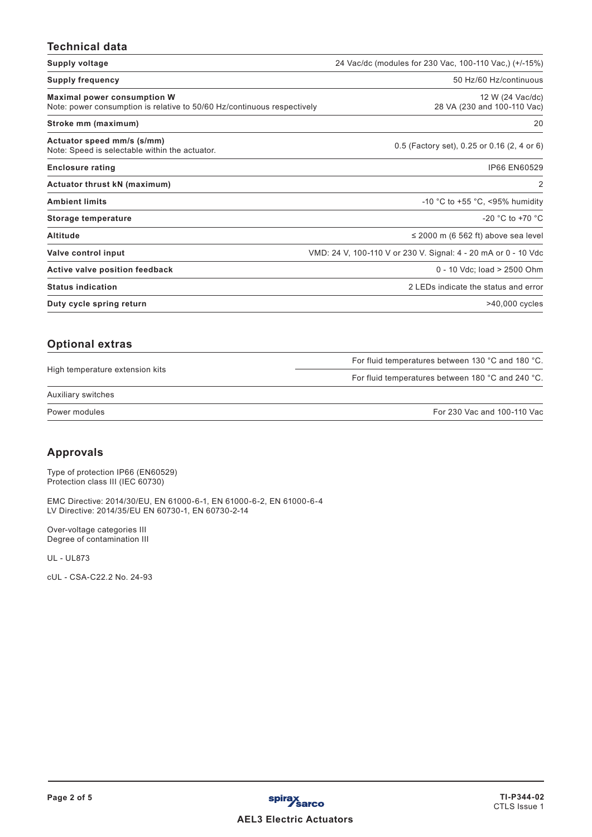# **Technical data**

| Supply voltage                                                                                                | 24 Vac/dc (modules for 230 Vac, 100-110 Vac,) (+/-15%)         |
|---------------------------------------------------------------------------------------------------------------|----------------------------------------------------------------|
| <b>Supply frequency</b>                                                                                       | 50 Hz/60 Hz/continuous                                         |
| <b>Maximal power consumption W</b><br>Note: power consumption is relative to 50/60 Hz/continuous respectively | 12 W (24 Vac/dc)<br>28 VA (230 and 100-110 Vac)                |
| Stroke mm (maximum)                                                                                           | 20                                                             |
| Actuator speed mm/s (s/mm)<br>Note: Speed is selectable within the actuator.                                  | 0.5 (Factory set), 0.25 or 0.16 (2, 4 or 6)                    |
| <b>Enclosure rating</b>                                                                                       | IP66 EN60529                                                   |
| Actuator thrust kN (maximum)                                                                                  | 2                                                              |
| <b>Ambient limits</b>                                                                                         | -10 °C to +55 °C, <95% humidity                                |
| Storage temperature                                                                                           | -20 $^{\circ}$ C to +70 $^{\circ}$ C                           |
| <b>Altitude</b>                                                                                               | $\leq$ 2000 m (6 562 ft) above sea level                       |
| Valve control input                                                                                           | VMD: 24 V, 100-110 V or 230 V. Signal: 4 - 20 mA or 0 - 10 Vdc |
| Active valve position feedback                                                                                | 0 - 10 Vdc; load > 2500 Ohm                                    |
| <b>Status indication</b>                                                                                      | 2 LEDs indicate the status and error                           |
| Duty cycle spring return                                                                                      | $>40,000$ cycles                                               |

|                                 | For fluid temperatures between 130 °C and 180 °C. |
|---------------------------------|---------------------------------------------------|
| High temperature extension kits | For fluid temperatures between 180 °C and 240 °C. |
| Auxiliary switches              |                                                   |
| Power modules                   | For 230 Vac and 100-110 Vac                       |

# **Approvals**

Type of protection IP66 (EN60529) Protection class III (IEC 60730)

EMC Directive: 2014/30/EU, EN 61000-6-1, EN 61000-6-2, EN 61000-6-4 LV Directive: 2014/35/EU EN 60730-1, EN 60730-2-14

Over-voltage categories III Degree of contamination III

UL - UL873

cUL - CSA-C22.2 No. 24-93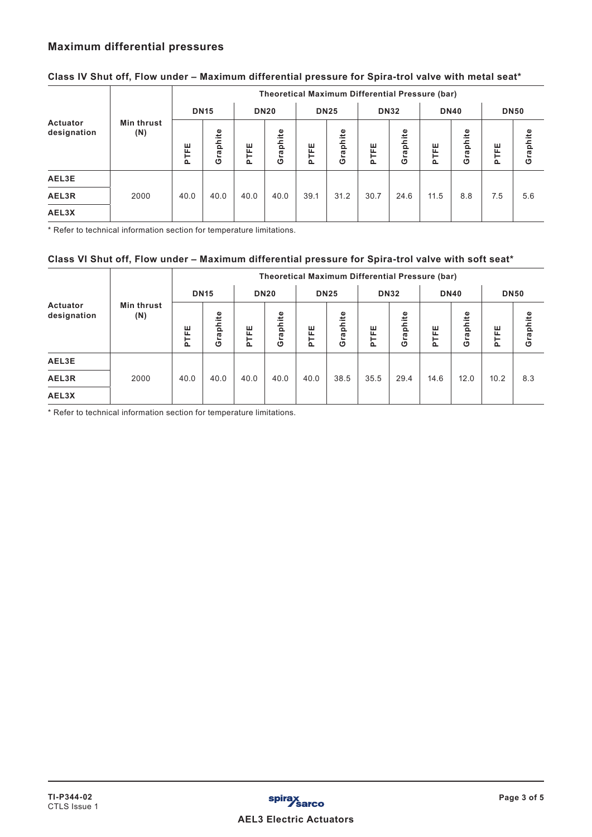# **Maximum differential pressures**

|                         |                          | <b>Theoretical Maximum Differential Pressure (bar)</b> |              |      |                                   |      |          |                    |          |                         |     |             |          |
|-------------------------|--------------------------|--------------------------------------------------------|--------------|------|-----------------------------------|------|----------|--------------------|----------|-------------------------|-----|-------------|----------|
|                         |                          | <b>DN15</b>                                            |              |      | <b>DN25</b><br><b>DN20</b>        |      |          | <b>DN32</b>        |          | <b>DN40</b>             |     | <b>DN50</b> |          |
| Actuator<br>designation | <b>Min thrust</b><br>(N) | ш<br>ш.<br>눈                                           | raphite<br>O | PTFE | phite<br>$\overline{\sigma}$<br>ඏ | PTFE | Graphite | ш<br>щ<br>$\Omega$ | Graphite | phite<br>PTFE<br>ᢐ<br>ტ |     | PTFE        | Graphite |
| AEL3E                   |                          |                                                        |              |      |                                   |      |          |                    |          |                         |     |             |          |
| AEL3R                   | 2000                     | 40.0                                                   | 40.0         | 40.0 | 40.0                              | 39.1 | 31.2     | 30.7               | 24.6     | 11.5                    | 8.8 | 7.5         | 5.6      |
| AEL3X                   |                          |                                                        |              |      |                                   |      |          |                    |          |                         |     |             |          |

## **Class IV Shut off, Flow under – Maximum differential pressure for Spira-trol valve with metal seat\***

\* Refer to technical information section for temperature limitations.

### **Class VI Shut off, Flow under – Maximum differential pressure for Spira-trol valve with soft seat\***

|                         |                   | <b>Theoretical Maximum Differential Pressure (bar)</b> |              |                  |                      |                      |              |                         |              |                                     |        |             |     |
|-------------------------|-------------------|--------------------------------------------------------|--------------|------------------|----------------------|----------------------|--------------|-------------------------|--------------|-------------------------------------|--------|-------------|-----|
|                         |                   | <b>DN15</b>                                            |              | <b>DN20</b>      |                      |                      | <b>DN25</b>  |                         | <b>DN32</b>  | <b>DN40</b>                         |        | <b>DN50</b> |     |
| Actuator<br>designation | Min thrust<br>(N) | ш<br>⊭<br>$\Omega$                                     | raphite<br>O | ш<br>똩<br>$\sim$ | Ф<br>phite<br>ω<br>ඏ | ш<br>푼<br><u>َمَ</u> | raphite<br>O | ш<br>щ<br>⊢<br>$\Omega$ | raphite<br>O | phite<br>ш<br>匿<br>ω<br>ග<br>$\sim$ | ш<br>E | Graphite    |     |
| AEL3E                   |                   |                                                        |              |                  |                      |                      |              |                         |              |                                     |        |             |     |
| AEL3R                   | 2000              | 40.0                                                   | 40.0         | 40.0             | 40.0                 | 40.0                 | 38.5         | 35.5                    | 29.4         | 14.6                                | 12.0   | 10.2        | 8.3 |
| AEL3X                   |                   |                                                        |              |                  |                      |                      |              |                         |              |                                     |        |             |     |

\* Refer to technical information section for temperature limitations.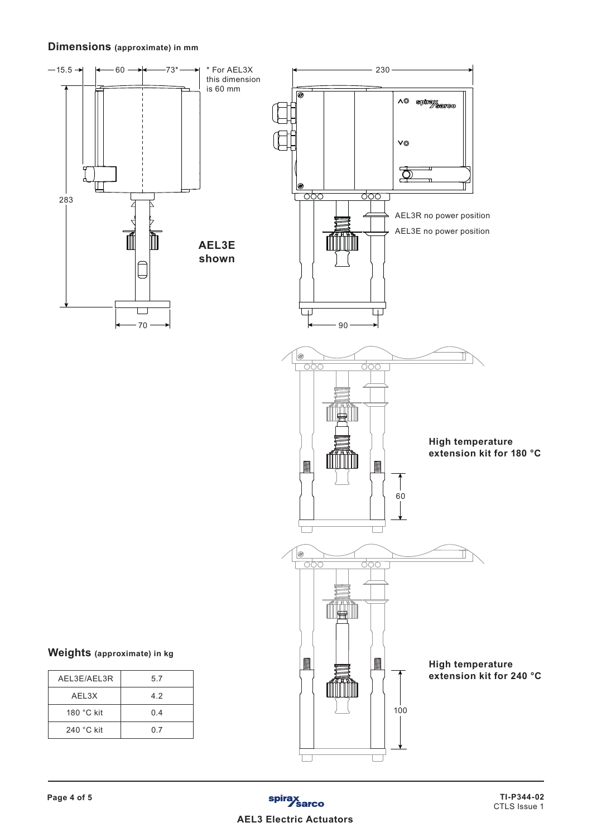## **Dimensions (approximate) in mm**